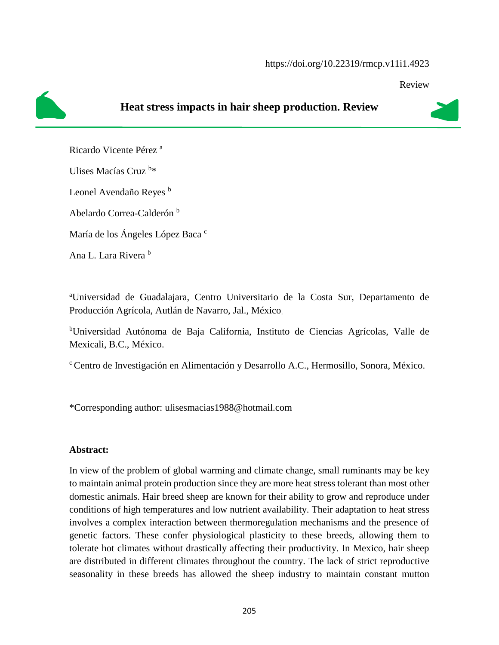#### https://doi.org/10.22319/rmcp.v11i1.4923

Review



# **Heat stress impacts in hair sheep production. Review**

Ricardo Vicente Pérez <sup>a</sup>

Ulises Macías Cruz b\*

Leonel Avendaño Reyes<sup>b</sup>

Abelardo Correa-Calderón <sup>b</sup>

María de los Ángeles López Baca c

Ana L. Lara Rivera b

<sup>a</sup>Universidad de Guadalajara, Centro Universitario de la Costa Sur, Departamento de Producción Agrícola, Autlán de Navarro, Jal., México.

<sup>b</sup>Universidad Autónoma de Baja California, Instituto de Ciencias Agrícolas, Valle de Mexicali, B.C., México.

<sup>c</sup>Centro de Investigación en Alimentación y Desarrollo A.C., Hermosillo, Sonora, México.

\*Corresponding author: ulisesmacias1988@hotmail.com

### **Abstract:**

In view of the problem of global warming and climate change, small ruminants may be key to maintain animal protein production since they are more heat stress tolerant than most other domestic animals. Hair breed sheep are known for their ability to grow and reproduce under conditions of high temperatures and low nutrient availability. Their adaptation to heat stress involves a complex interaction between thermoregulation mechanisms and the presence of genetic factors. These confer physiological plasticity to these breeds, allowing them to tolerate hot climates without drastically affecting their productivity. In Mexico, hair sheep are distributed in different climates throughout the country. The lack of strict reproductive seasonality in these breeds has allowed the sheep industry to maintain constant mutton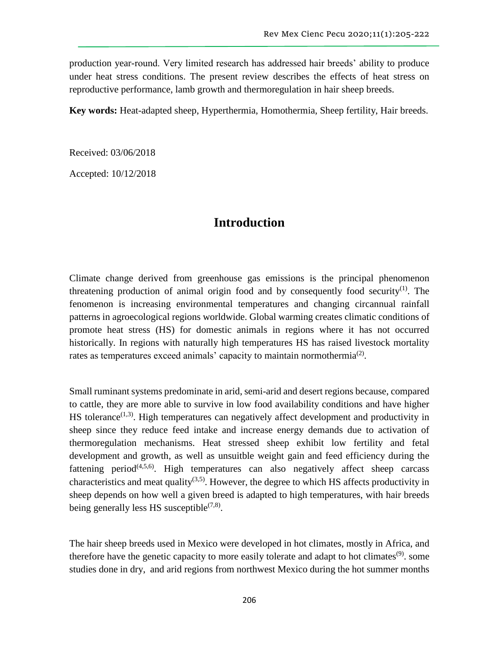production year-round. Very limited research has addressed hair breeds' ability to produce under heat stress conditions. The present review describes the effects of heat stress on reproductive performance, lamb growth and thermoregulation in hair sheep breeds.

**Key words:** Heat-adapted sheep, Hyperthermia, Homothermia, Sheep fertility, Hair breeds.

Received: 03/06/2018

Accepted: 10/12/2018

### **Introduction**

Climate change derived from greenhouse gas emissions is the principal phenomenon threatening production of animal origin food and by consequently food security<sup>(1)</sup>. The fenomenon is increasing environmental temperatures and changing circannual rainfall patterns in agroecological regions worldwide. Global warming creates climatic conditions of promote heat stress (HS) for domestic animals in regions where it has not occurred historically. In regions with naturally high temperatures HS has raised livestock mortality rates as temperatures exceed animals' capacity to maintain normothermia<sup>(2)</sup>.

Small ruminant systems predominate in arid, semi-arid and desert regions because, compared to cattle, they are more able to survive in low food availability conditions and have higher HS tolerance<sup> $(1,3)$ </sup>. High temperatures can negatively affect development and productivity in sheep since they reduce feed intake and increase energy demands due to activation of thermoregulation mechanisms. Heat stressed sheep exhibit low fertility and fetal development and growth, as well as unsuitble weight gain and feed efficiency during the fattening period<sup> $(4,5,6)$ </sup>. High temperatures can also negatively affect sheep carcass characteristics and meat quality<sup>(3,5)</sup>. However, the degree to which HS affects productivity in sheep depends on how well a given breed is adapted to high temperatures, with hair breeds being generally less HS susceptible<sup> $(7,8)$ </sup>.

The hair sheep breeds used in Mexico were developed in hot climates, mostly in Africa, and therefore have the genetic capacity to more easily tolerate and adapt to hot climates<sup>(9)</sup>. some studies done in dry, and arid regions from northwest Mexico during the hot summer months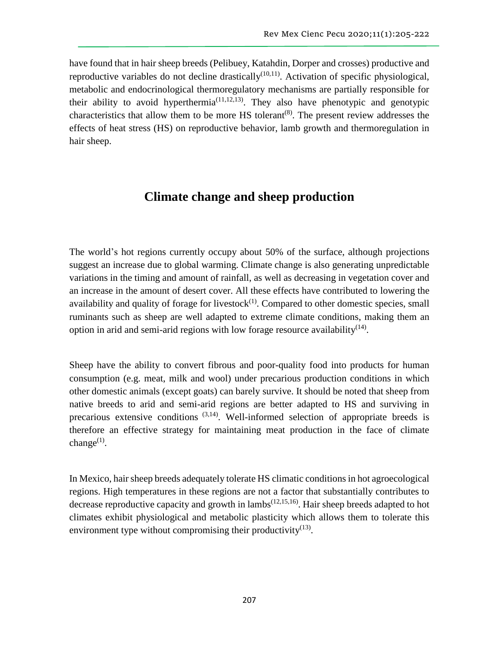have found that in hair sheep breeds (Pelibuey, Katahdin, Dorper and crosses) productive and reproductive variables do not decline drastically<sup>(10,11)</sup>. Activation of specific physiological, metabolic and endocrinological thermoregulatory mechanisms are partially responsible for their ability to avoid hyperthermia<sup> $(11,12,13)$ </sup>. They also have phenotypic and genotypic characteristics that allow them to be more  $\overline{HS}$  tolerant<sup>(8)</sup>. The present review addresses the effects of heat stress (HS) on reproductive behavior, lamb growth and thermoregulation in hair sheep.

## **Climate change and sheep production**

The world's hot regions currently occupy about 50% of the surface, although projections suggest an increase due to global warming. Climate change is also generating unpredictable variations in the timing and amount of rainfall, as well as decreasing in vegetation cover and an increase in the amount of desert cover. All these effects have contributed to lowering the availability and quality of forage for livestock $(1)$ . Compared to other domestic species, small ruminants such as sheep are well adapted to extreme climate conditions, making them an option in arid and semi-arid regions with low forage resource availability $(14)$ .

Sheep have the ability to convert fibrous and poor-quality food into products for human consumption (e.g. meat, milk and wool) under precarious production conditions in which other domestic animals (except goats) can barely survive. It should be noted that sheep from native breeds to arid and semi-arid regions are better adapted to HS and surviving in precarious extensive conditions  $(3,14)$ . Well-informed selection of appropriate breeds is therefore an effective strategy for maintaining meat production in the face of climate change $^{(1)}$ .

In Mexico, hair sheep breeds adequately tolerate HS climatic conditions in hot agroecological regions. High temperatures in these regions are not a factor that substantially contributes to decrease reproductive capacity and growth in lambs<sup>(12,15,16)</sup>. Hair sheep breeds adapted to hot climates exhibit physiological and metabolic plasticity which allows them to tolerate this environment type without compromising their productivity $(13)$ .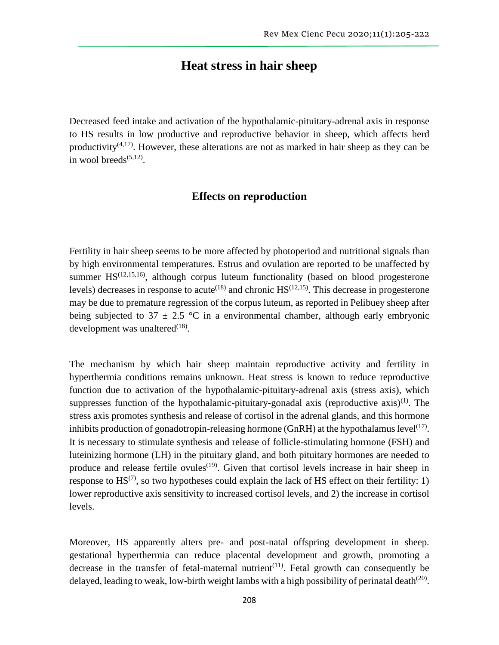## **Heat stress in hair sheep**

Decreased feed intake and activation of the hypothalamic-pituitary-adrenal axis in response to HS results in low productive and reproductive behavior in sheep, which affects herd productivity<sup> $(4,17)$ </sup>. However, these alterations are not as marked in hair sheep as they can be in wool breeds $(5,12)$ .

### **Effects on reproduction**

Fertility in hair sheep seems to be more affected by photoperiod and nutritional signals than by high environmental temperatures. Estrus and ovulation are reported to be unaffected by summer  $HS^{(12,15,16)}$ , although corpus luteum functionality (based on blood progesterone levels) decreases in response to acute<sup> $(18)$ </sup> and chronic  $HS$ <sup> $(12,15)$ </sup>. This decrease in progesterone may be due to premature regression of the corpus luteum, as reported in Pelibuey sheep after being subjected to 37  $\pm$  2.5 °C in a environmental chamber, although early embryonic development was unaltered $^{(18)}$ .

The mechanism by which hair sheep maintain reproductive activity and fertility in hyperthermia conditions remains unknown. Heat stress is known to reduce reproductive function due to activation of the hypothalamic-pituitary-adrenal axis (stress axis), which suppresses function of the hypothalamic-pituitary-gonadal axis (reproductive  $axis$ )<sup>(1)</sup>. The stress axis promotes synthesis and release of cortisol in the adrenal glands, and this hormone inhibits production of gonadotropin-releasing hormone (GnRH) at the hypothalamus level<sup>(17)</sup>. It is necessary to stimulate synthesis and release of follicle-stimulating hormone (FSH) and luteinizing hormone (LH) in the pituitary gland, and both pituitary hormones are needed to produce and release fertile ovules<sup>(19)</sup>. Given that cortisol levels increase in hair sheep in response to  $\text{HS}^{(7)}$ , so two hypotheses could explain the lack of HS effect on their fertility: 1) lower reproductive axis sensitivity to increased cortisol levels, and 2) the increase in cortisol levels.

Moreover, HS apparently alters pre- and post-natal offspring development in sheep. gestational hyperthermia can reduce placental development and growth, promoting a decrease in the transfer of fetal-maternal nutrient<sup> $(11)$ </sup>. Fetal growth can consequently be delayed, leading to weak, low-birth weight lambs with a high possibility of perinatal death $(20)$ .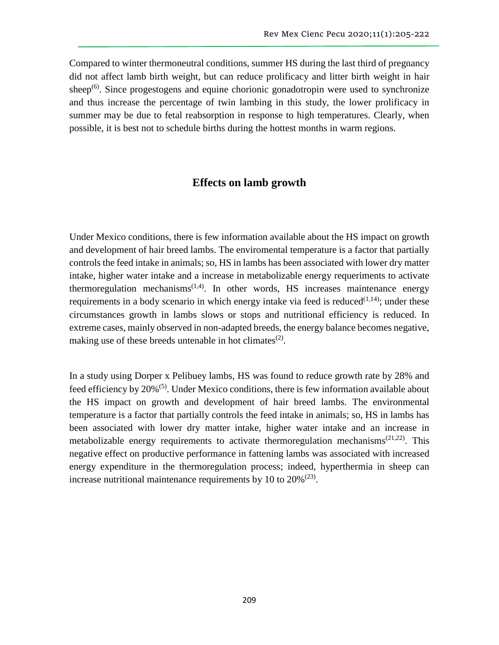Compared to winter thermoneutral conditions, summer HS during the last third of pregnancy did not affect lamb birth weight, but can reduce prolificacy and litter birth weight in hair sheep<sup> $(6)$ </sup>. Since progestogens and equine chorionic gonadotropin were used to synchronize and thus increase the percentage of twin lambing in this study, the lower prolificacy in summer may be due to fetal reabsorption in response to high temperatures. Clearly, when possible, it is best not to schedule births during the hottest months in warm regions.

### **Effects on lamb growth**

Under Mexico conditions, there is few information available about the HS impact on growth and development of hair breed lambs. The enviromental temperature is a factor that partially controls the feed intake in animals; so, HS in lambs has been associated with lower dry matter intake, higher water intake and a increase in metabolizable energy requeriments to activate thermoregulation mechanisms<sup> $(1,4)$ </sup>. In other words, HS increases maintenance energy requirements in a body scenario in which energy intake via feed is reduced $(1,14)$ ; under these circumstances growth in lambs slows or stops and nutritional efficiency is reduced. In extreme cases, mainly observed in non-adapted breeds, the energy balance becomes negative, making use of these breeds untenable in hot climates<sup>(2)</sup>.

In a study using Dorper x Pelibuey lambs, HS was found to reduce growth rate by 28% and feed efficiency by 20%<sup>(5)</sup>. Under Mexico conditions, there is few information available about the HS impact on growth and development of hair breed lambs. The environmental temperature is a factor that partially controls the feed intake in animals; so, HS in lambs has been associated with lower dry matter intake, higher water intake and an increase in metabolizable energy requirements to activate thermoregulation mechanisms<sup> $(21,22)$ </sup>. This negative effect on productive performance in fattening lambs was associated with increased energy expenditure in the thermoregulation process; indeed, hyperthermia in sheep can increase nutritional maintenance requirements by 10 to  $20\%^{(23)}$ .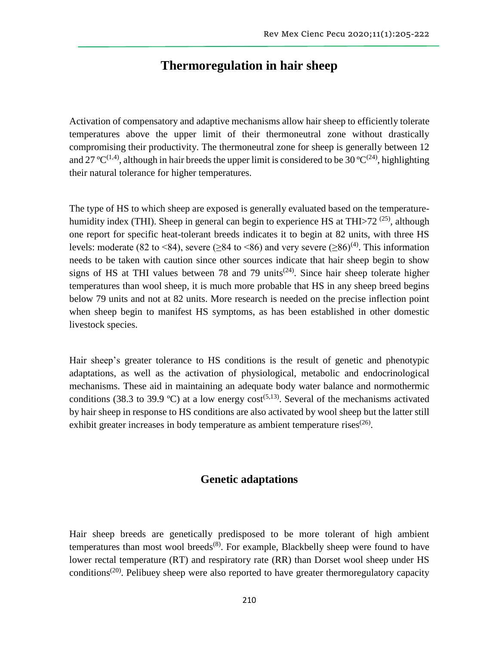## **Thermoregulation in hair sheep**

Activation of compensatory and adaptive mechanisms allow hair sheep to efficiently tolerate temperatures above the upper limit of their thermoneutral zone without drastically compromising their productivity. The thermoneutral zone for sheep is generally between 12 and 27 °C<sup>(1,4)</sup>, although in hair breeds the upper limit is considered to be 30 °C<sup>(24)</sup>, highlighting their natural tolerance for higher temperatures.

The type of HS to which sheep are exposed is generally evaluated based on the temperaturehumidity index (THI). Sheep in general can begin to experience HS at THI $>$ 72<sup>(25)</sup>, although one report for specific heat-tolerant breeds indicates it to begin at 82 units, with three HS levels: moderate (82 to <84), severe ( $\geq 84$  to <86) and very severe ( $\geq 86$ )<sup>(4)</sup>. This information needs to be taken with caution since other sources indicate that hair sheep begin to show signs of HS at THI values between 78 and 79 units<sup> $(24)$ </sup>. Since hair sheep tolerate higher temperatures than wool sheep, it is much more probable that HS in any sheep breed begins below 79 units and not at 82 units. More research is needed on the precise inflection point when sheep begin to manifest HS symptoms, as has been established in other domestic livestock species.

Hair sheep's greater tolerance to HS conditions is the result of genetic and phenotypic adaptations, as well as the activation of physiological, metabolic and endocrinological mechanisms. These aid in maintaining an adequate body water balance and normothermic conditions (38.3 to 39.9 °C) at a low energy cost<sup>(5,13)</sup>. Several of the mechanisms activated by hair sheep in response to HS conditions are also activated by wool sheep but the latter still exhibit greater increases in body temperature as ambient temperature rises $(26)$ .

### **Genetic adaptations**

Hair sheep breeds are genetically predisposed to be more tolerant of high ambient temperatures than most wool breeds<sup> $(8)$ </sup>. For example, Blackbelly sheep were found to have lower rectal temperature (RT) and respiratory rate (RR) than Dorset wool sheep under HS conditions<sup> $(20)$ </sup>. Pelibuey sheep were also reported to have greater thermoregulatory capacity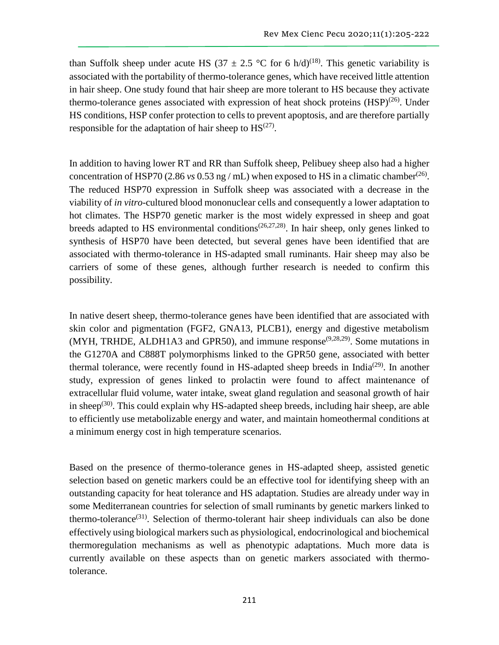than Suffolk sheep under acute HS (37  $\pm$  2.5 °C for 6 h/d)<sup>(18)</sup>. This genetic variability is associated with the portability of thermo-tolerance genes, which have received little attention in hair sheep. One study found that hair sheep are more tolerant to HS because they activate thermo-tolerance genes associated with expression of heat shock proteins  $(HSP)^{(26)}$ . Under HS conditions, HSP confer protection to cells to prevent apoptosis, and are therefore partially responsible for the adaptation of hair sheep to  $HS^{(27)}$ .

In addition to having lower RT and RR than Suffolk sheep, Pelibuey sheep also had a higher concentration of HSP70 (2.86 *vs* 0.53 ng / mL) when exposed to HS in a climatic chamber<sup>(26)</sup>. The reduced HSP70 expression in Suffolk sheep was associated with a decrease in the viability of *in vitro*-cultured blood mononuclear cells and consequently a lower adaptation to hot climates. The HSP70 genetic marker is the most widely expressed in sheep and goat breeds adapted to HS environmental conditions<sup> $(26,27,28)$ </sup>. In hair sheep, only genes linked to synthesis of HSP70 have been detected, but several genes have been identified that are associated with thermo-tolerance in HS-adapted small ruminants. Hair sheep may also be carriers of some of these genes, although further research is needed to confirm this possibility.

In native desert sheep, thermo-tolerance genes have been identified that are associated with skin color and pigmentation (FGF2, GNA13, PLCB1), energy and digestive metabolism (MYH, TRHDE, ALDH1A3 and GPR50), and immune response<sup> $(9,28,29)$ </sup>. Some mutations in the G1270A and C888T polymorphisms linked to the GPR50 gene, associated with better thermal tolerance, were recently found in HS-adapted sheep breeds in India<sup>(29)</sup>. In another study, expression of genes linked to prolactin were found to affect maintenance of extracellular fluid volume, water intake, sweat gland regulation and seasonal growth of hair in sheep<sup>(30)</sup>. This could explain why HS-adapted sheep breeds, including hair sheep, are able to efficiently use metabolizable energy and water, and maintain homeothermal conditions at a minimum energy cost in high temperature scenarios.

Based on the presence of thermo-tolerance genes in HS-adapted sheep, assisted genetic selection based on genetic markers could be an effective tool for identifying sheep with an outstanding capacity for heat tolerance and HS adaptation. Studies are already under way in some Mediterranean countries for selection of small ruminants by genetic markers linked to thermo-tolerance<sup> $(31)$ </sup>. Selection of thermo-tolerant hair sheep individuals can also be done effectively using biological markers such as physiological, endocrinological and biochemical thermoregulation mechanisms as well as phenotypic adaptations. Much more data is currently available on these aspects than on genetic markers associated with thermotolerance.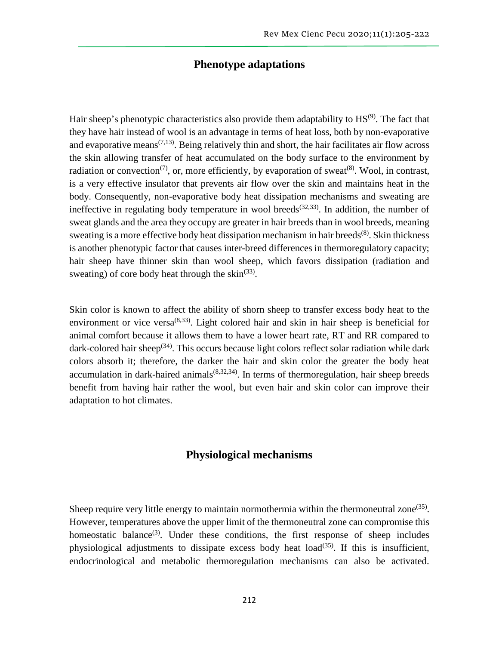### **Phenotype adaptations**

Hair sheep's phenotypic characteristics also provide them adaptability to HS<sup>(9)</sup>. The fact that they have hair instead of wool is an advantage in terms of heat loss, both by non-evaporative and evaporative means<sup> $(7,13)$ </sup>. Being relatively thin and short, the hair facilitates air flow across the skin allowing transfer of heat accumulated on the body surface to the environment by radiation or convection<sup>(7)</sup>, or, more efficiently, by evaporation of sweat<sup>(8)</sup>. Wool, in contrast, is a very effective insulator that prevents air flow over the skin and maintains heat in the body. Consequently, non-evaporative body heat dissipation mechanisms and sweating are ineffective in regulating body temperature in wool breeds<sup> $(32,33)$ </sup>. In addition, the number of sweat glands and the area they occupy are greater in hair breeds than in wool breeds, meaning sweating is a more effective body heat dissipation mechanism in hair breeds<sup>(8)</sup>. Skin thickness is another phenotypic factor that causes inter-breed differences in thermoregulatory capacity; hair sheep have thinner skin than wool sheep, which favors dissipation (radiation and sweating) of core body heat through the  $\sin^{(33)}$ .

Skin color is known to affect the ability of shorn sheep to transfer excess body heat to the environment or vice versa $^{(8,33)}$ . Light colored hair and skin in hair sheep is beneficial for animal comfort because it allows them to have a lower heart rate, RT and RR compared to dark-colored hair sheep<sup>(34)</sup>. This occurs because light colors reflect solar radiation while dark colors absorb it; therefore, the darker the hair and skin color the greater the body heat accumulation in dark-haired animals<sup> $(8,32,34)$ </sup>. In terms of thermoregulation, hair sheep breeds benefit from having hair rather the wool, but even hair and skin color can improve their adaptation to hot climates.

### **Physiological mechanisms**

Sheep require very little energy to maintain normothermia within the thermoneutral zone<sup> $(35)$ </sup>. However, temperatures above the upper limit of the thermoneutral zone can compromise this homeostatic balance<sup>(3)</sup>. Under these conditions, the first response of sheep includes physiological adjustments to dissipate excess body heat  $load^{(35)}$ . If this is insufficient, endocrinological and metabolic thermoregulation mechanisms can also be activated.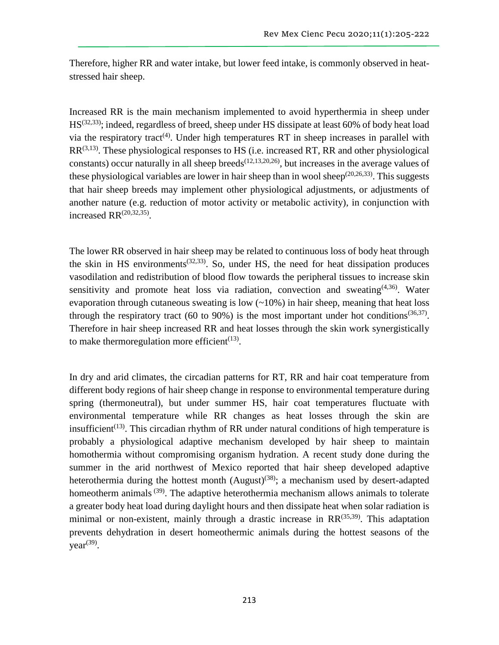Therefore, higher RR and water intake, but lower feed intake, is commonly observed in heatstressed hair sheep.

Increased RR is the main mechanism implemented to avoid hyperthermia in sheep under HS<sup>(32,33)</sup>; indeed, regardless of breed, sheep under HS dissipate at least 60% of body heat load via the respiratory tract<sup>(4)</sup>. Under high temperatures RT in sheep increases in parallel with  $RR^{(3,13)}$ . These physiological responses to HS (i.e. increased RT, RR and other physiological constants) occur naturally in all sheep breeds<sup> $(12,13,20,26)$ </sup>, but increases in the average values of these physiological variables are lower in hair sheep than in wool sheep<sup>(20,26,33)</sup>. This suggests that hair sheep breeds may implement other physiological adjustments, or adjustments of another nature (e.g. reduction of motor activity or metabolic activity), in conjunction with increased  $RR^{(20,32,35)}$ .

The lower RR observed in hair sheep may be related to continuous loss of body heat through the skin in HS environments<sup> $(32,33)$ </sup>. So, under HS, the need for heat dissipation produces vasodilation and redistribution of blood flow towards the peripheral tissues to increase skin sensitivity and promote heat loss via radiation, convection and sweating $(4,36)$ . Water evaporation through cutaneous sweating is low  $(\sim 10\%)$  in hair sheep, meaning that heat loss through the respiratory tract (60 to 90%) is the most important under hot conditions<sup>(36,37)</sup>. Therefore in hair sheep increased RR and heat losses through the skin work synergistically to make thermoregulation more efficient<sup> $(13)$ </sup>.

In dry and arid climates, the circadian patterns for RT, RR and hair coat temperature from different body regions of hair sheep change in response to environmental temperature during spring (thermoneutral), but under summer HS, hair coat temperatures fluctuate with environmental temperature while RR changes as heat losses through the skin are insufficient<sup>(13)</sup>. This circadian rhythm of RR under natural conditions of high temperature is probably a physiological adaptive mechanism developed by hair sheep to maintain homothermia without compromising organism hydration. A recent study done during the summer in the arid northwest of Mexico reported that hair sheep developed adaptive heterothermia during the hottest month  $(August)^{(38)}$ ; a mechanism used by desert-adapted homeotherm animals <sup>(39)</sup>. The adaptive heterothermia mechanism allows animals to tolerate a greater body heat load during daylight hours and then dissipate heat when solar radiation is minimal or non-existent, mainly through a drastic increase in  $RR^{(35,39)}$ . This adaptation prevents dehydration in desert homeothermic animals during the hottest seasons of the  $year<sup>(39)</sup>$ .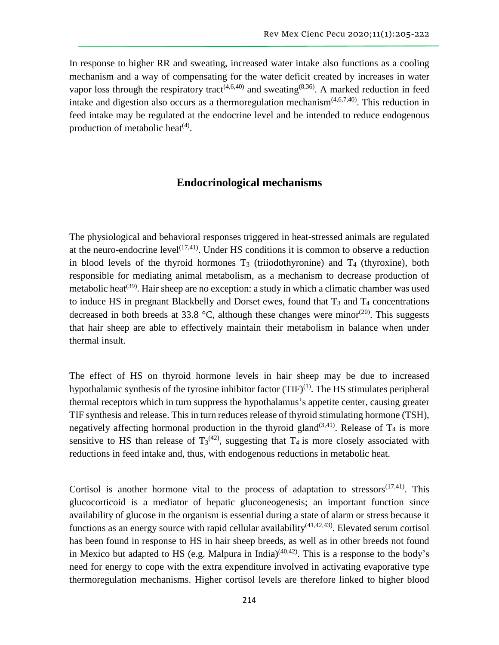In response to higher RR and sweating, increased water intake also functions as a cooling mechanism and a way of compensating for the water deficit created by increases in water vapor loss through the respiratory tract<sup> $(4,6,40)$ </sup> and sweating<sup> $(8,36)$ </sup>. A marked reduction in feed intake and digestion also occurs as a thermoregulation mechanism $(4,6,7,40)$ . This reduction in feed intake may be regulated at the endocrine level and be intended to reduce endogenous production of metabolic heat $(4)$ .

### **Endocrinological mechanisms**

The physiological and behavioral responses triggered in heat-stressed animals are regulated at the neuro-endocrine level<sup> $(17,41)$ </sup>. Under HS conditions it is common to observe a reduction in blood levels of the thyroid hormones  $T_3$  (triiodothyronine) and  $T_4$  (thyroxine), both responsible for mediating animal metabolism, as a mechanism to decrease production of metabolic heat<sup>(39)</sup>. Hair sheep are no exception: a study in which a climatic chamber was used to induce HS in pregnant Blackbelly and Dorset ewes, found that  $T_3$  and  $T_4$  concentrations decreased in both breeds at 33.8 °C, although these changes were minor<sup>(20)</sup>. This suggests that hair sheep are able to effectively maintain their metabolism in balance when under thermal insult.

The effect of HS on thyroid hormone levels in hair sheep may be due to increased hypothalamic synthesis of the tyrosine inhibitor factor  $(TIF)^{(1)}$ . The HS stimulates peripheral thermal receptors which in turn suppress the hypothalamus's appetite center, causing greater TIF synthesis and release. This in turn reduces release of thyroid stimulating hormone (TSH), negatively affecting hormonal production in the thyroid gland<sup>(3,41)</sup>. Release of  $T_4$  is more sensitive to HS than release of  $T_3^{(42)}$ , suggesting that  $T_4$  is more closely associated with reductions in feed intake and, thus, with endogenous reductions in metabolic heat.

Cortisol is another hormone vital to the process of adaptation to stressors $(17,41)$ . This glucocorticoid is a mediator of hepatic gluconeogenesis; an important function since availability of glucose in the organism is essential during a state of alarm or stress because it functions as an energy source with rapid cellular availability<sup> $(41,42,43)$ </sup>. Elevated serum cortisol has been found in response to HS in hair sheep breeds, as well as in other breeds not found in Mexico but adapted to HS (e.g. Malpura in India) $(40,42)$ . This is a response to the body's need for energy to cope with the extra expenditure involved in activating evaporative type thermoregulation mechanisms. Higher cortisol levels are therefore linked to higher blood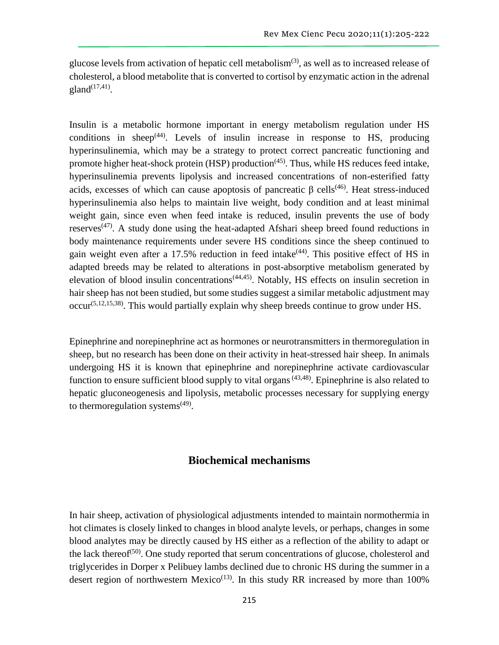glucose levels from activation of hepatic cell metabolism $(3)$ , as well as to increased release of cholesterol, a blood metabolite that is converted to cortisol by enzymatic action in the adrenal  $\text{gland}^{(17,41)}$ .

Insulin is a metabolic hormone important in energy metabolism regulation under HS conditions in sheep $(44)$ . Levels of insulin increase in response to HS, producing hyperinsulinemia, which may be a strategy to protect correct pancreatic functioning and promote higher heat-shock protein (HSP) production<sup>(45)</sup>. Thus, while HS reduces feed intake, hyperinsulinemia prevents lipolysis and increased concentrations of non-esterified fatty acids, excesses of which can cause apoptosis of pancreatic  $\beta$  cells<sup>(46)</sup>. Heat stress-induced hyperinsulinemia also helps to maintain live weight, body condition and at least minimal weight gain, since even when feed intake is reduced, insulin prevents the use of body reserves<sup>(47)</sup>. A study done using the heat-adapted Afshari sheep breed found reductions in body maintenance requirements under severe HS conditions since the sheep continued to gain weight even after a 17.5% reduction in feed intake $(44)$ . This positive effect of HS in adapted breeds may be related to alterations in post-absorptive metabolism generated by elevation of blood insulin concentrations<sup>(44,45)</sup>. Notably, HS effects on insulin secretion in hair sheep has not been studied, but some studies suggest a similar metabolic adjustment may  $\text{occur}^{(5,12,15,38)}$ . This would partially explain why sheep breeds continue to grow under HS.

Epinephrine and norepinephrine act as hormones or neurotransmitters in thermoregulation in sheep, but no research has been done on their activity in heat-stressed hair sheep. In animals undergoing HS it is known that epinephrine and norepinephrine activate cardiovascular function to ensure sufficient blood supply to vital organs<sup> $(43,48)$ </sup>. Epinephrine is also related to hepatic gluconeogenesis and lipolysis, metabolic processes necessary for supplying energy to thermoregulation systems<sup>(49)</sup>.

### **Biochemical mechanisms**

In hair sheep, activation of physiological adjustments intended to maintain normothermia in hot climates is closely linked to changes in blood analyte levels, or perhaps, changes in some blood analytes may be directly caused by HS either as a reflection of the ability to adapt or the lack thereof<sup> $(50)$ </sup>. One study reported that serum concentrations of glucose, cholesterol and triglycerides in Dorper x Pelibuey lambs declined due to chronic HS during the summer in a desert region of northwestern Mexico<sup> $(13)$ </sup>. In this study RR increased by more than 100%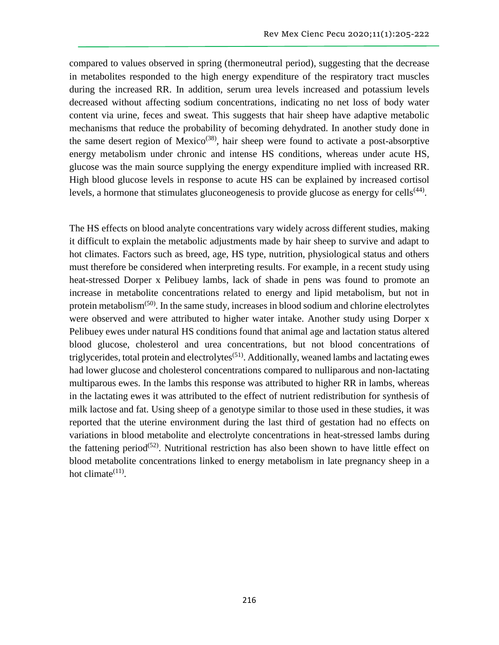compared to values observed in spring (thermoneutral period), suggesting that the decrease in metabolites responded to the high energy expenditure of the respiratory tract muscles during the increased RR. In addition, serum urea levels increased and potassium levels decreased without affecting sodium concentrations, indicating no net loss of body water content via urine, feces and sweat. This suggests that hair sheep have adaptive metabolic mechanisms that reduce the probability of becoming dehydrated. In another study done in the same desert region of Mexico<sup>(38)</sup>, hair sheep were found to activate a post-absorptive energy metabolism under chronic and intense HS conditions, whereas under acute HS, glucose was the main source supplying the energy expenditure implied with increased RR. High blood glucose levels in response to acute HS can be explained by increased cortisol levels, a hormone that stimulates gluconeogenesis to provide glucose as energy for cells<sup>(44)</sup>.

The HS effects on blood analyte concentrations vary widely across different studies, making it difficult to explain the metabolic adjustments made by hair sheep to survive and adapt to hot climates. Factors such as breed, age, HS type, nutrition, physiological status and others must therefore be considered when interpreting results. For example, in a recent study using heat-stressed Dorper x Pelibuey lambs, lack of shade in pens was found to promote an increase in metabolite concentrations related to energy and lipid metabolism, but not in protein metabolism $(50)$ . In the same study, increases in blood sodium and chlorine electrolytes were observed and were attributed to higher water intake. Another study using Dorper x Pelibuey ewes under natural HS conditions found that animal age and lactation status altered blood glucose, cholesterol and urea concentrations, but not blood concentrations of triglycerides, total protein and electrolytes<sup> $(51)$ </sup>. Additionally, weaned lambs and lactating ewes had lower glucose and cholesterol concentrations compared to nulliparous and non-lactating multiparous ewes. In the lambs this response was attributed to higher RR in lambs, whereas in the lactating ewes it was attributed to the effect of nutrient redistribution for synthesis of milk lactose and fat. Using sheep of a genotype similar to those used in these studies, it was reported that the uterine environment during the last third of gestation had no effects on variations in blood metabolite and electrolyte concentrations in heat-stressed lambs during the fattening period<sup>(52)</sup>. Nutritional restriction has also been shown to have little effect on blood metabolite concentrations linked to energy metabolism in late pregnancy sheep in a hot climate $(11)$ .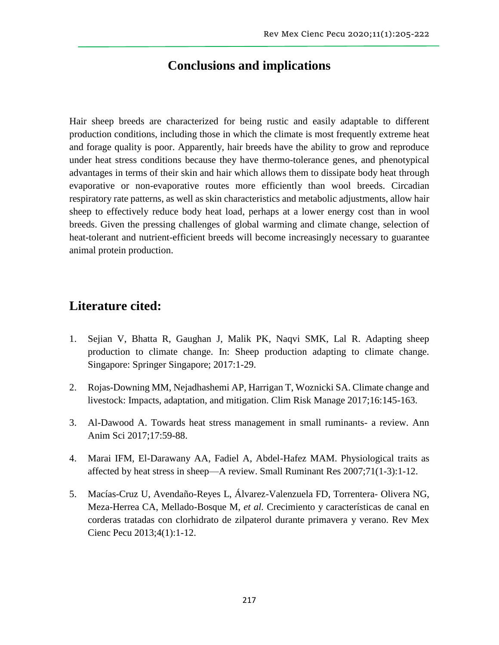# **Conclusions and implications**

Hair sheep breeds are characterized for being rustic and easily adaptable to different production conditions, including those in which the climate is most frequently extreme heat and forage quality is poor. Apparently, hair breeds have the ability to grow and reproduce under heat stress conditions because they have thermo-tolerance genes, and phenotypical advantages in terms of their skin and hair which allows them to dissipate body heat through evaporative or non-evaporative routes more efficiently than wool breeds. Circadian respiratory rate patterns, as well as skin characteristics and metabolic adjustments, allow hair sheep to effectively reduce body heat load, perhaps at a lower energy cost than in wool breeds. Given the pressing challenges of global warming and climate change, selection of heat-tolerant and nutrient-efficient breeds will become increasingly necessary to guarantee animal protein production.

# **Literature cited:**

- 1. Sejian V, Bhatta R, Gaughan J, Malik PK, Naqvi SMK, Lal R. Adapting sheep production to climate change. In: Sheep production adapting to climate change. Singapore: Springer Singapore; 2017:1-29.
- 2. Rojas-Downing MM, Nejadhashemi AP, Harrigan T, Woznicki SA. Climate change and livestock: Impacts, adaptation, and mitigation. Clim Risk Manage 2017;16:145-163.
- 3. Al-Dawood A. Towards heat stress management in small ruminants- a review. Ann Anim Sci 2017;17:59-88.
- 4. Marai IFM, El-Darawany AA, Fadiel A, Abdel-Hafez MAM. Physiological traits as affected by heat stress in sheep—A review. Small Ruminant Res 2007;71(1-3):1-12.
- 5. Macías-Cruz U, Avendaño-Reyes L, Álvarez-Valenzuela FD, Torrentera- Olivera NG, Meza-Herrea CA, Mellado-Bosque M, *et al.* Crecimiento y características de canal en corderas tratadas con clorhidrato de zilpaterol durante primavera y verano. Rev Mex Cienc Pecu 2013;4(1):1-12.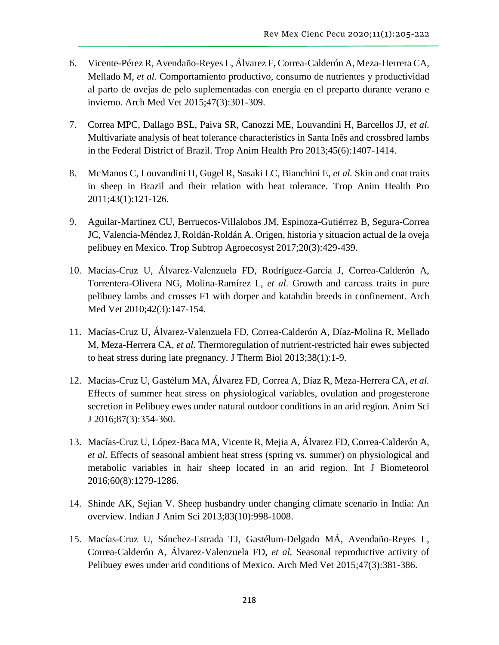- 6. Vicente-Pérez R, Avendaño-Reyes L, Álvarez F, Correa-Calderón A, Meza-Herrera CA, Mellado M, *et al.* Comportamiento productivo, consumo de nutrientes y productividad al parto de ovejas de pelo suplementadas con energía en el preparto durante verano e invierno. Arch Med Vet 2015;47(3):301-309.
- 7. Correa MPC, Dallago BSL, Paiva SR, Canozzi ME, Louvandini H, Barcellos JJ, *et al.* Multivariate analysis of heat tolerance characteristics in Santa Inês and crossbred lambs in the Federal District of Brazil. Trop Anim Health Pro 2013;45(6):1407-1414.
- 8. McManus C, Louvandini H, Gugel R, Sasaki LC, Bianchini E, *et al.* Skin and coat traits in sheep in Brazil and their relation with heat tolerance. Trop Anim Health Pro 2011;43(1):121-126.
- 9. Aguilar-Martinez CU, Berruecos-Villalobos JM, Espinoza-Gutiérrez B, Segura-Correa JC, Valencia-Méndez J, Roldán-Roldán A. Origen, historia y situacion actual de la oveja pelibuey en Mexico. Trop Subtrop Agroecosyst 2017;20(3):429-439.
- 10. Macías-Cruz U, Álvarez-Valenzuela FD, Rodríguez-García J, Correa-Calderón A, Torrentera-Olivera NG, Molina-Ramírez L, *et al.* Growth and carcass traits in pure pelibuey lambs and crosses F1 with dorper and katahdin breeds in confinement. Arch Med Vet 2010;42(3):147-154.
- 11. Macías-Cruz U, Álvarez-Valenzuela FD, Correa-Calderón A, Díaz-Molina R, Mellado M, Meza-Herrera CA, *et al.* Thermoregulation of nutrient-restricted hair ewes subjected to heat stress during late pregnancy. J Therm Biol 2013;38(1):1-9.
- 12. Macías-Cruz U, Gastélum MA, Álvarez FD, Correa A, Díaz R, Meza-Herrera CA, *et al.* Effects of summer heat stress on physiological variables, ovulation and progesterone secretion in Pelibuey ewes under natural outdoor conditions in an arid region. Anim Sci J 2016;87(3):354-360.
- 13. Macías-Cruz U, López-Baca MA, Vicente R, Mejia A, Álvarez FD, Correa-Calderón A, *et al.* Effects of seasonal ambient heat stress (spring vs. summer) on physiological and metabolic variables in hair sheep located in an arid region. Int J Biometeorol 2016;60(8):1279-1286.
- 14. Shinde AK, Sejian V. Sheep husbandry under changing climate scenario in India: An overview. Indian J Anim Sci 2013;83(10):998-1008.
- 15. Macías-Cruz U, Sánchez-Estrada TJ, Gastélum-Delgado MÁ, Avendaño-Reyes L, Correa-Calderón A, Álvarez-Valenzuela FD, *et al.* Seasonal reproductive activity of Pelibuey ewes under arid conditions of Mexico. Arch Med Vet 2015;47(3):381-386.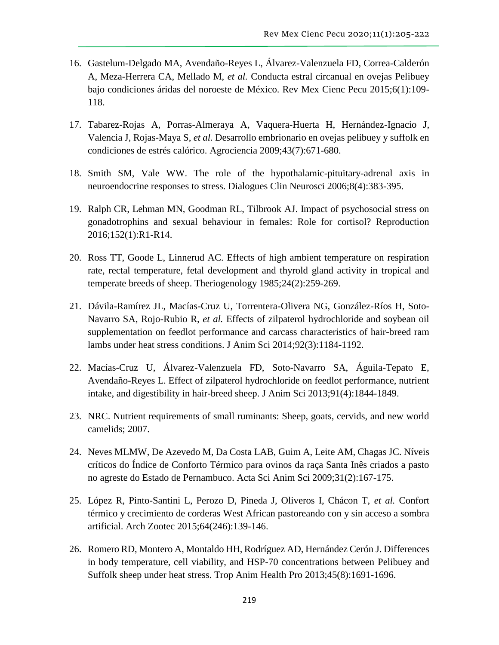- 16. Gastelum-Delgado MA, Avendaño-Reyes L, Álvarez-Valenzuela FD, Correa-Calderón A, Meza-Herrera CA, Mellado M, *et al.* Conducta estral circanual en ovejas Pelibuey bajo condiciones áridas del noroeste de México. Rev Mex Cienc Pecu 2015;6(1):109- 118.
- 17. Tabarez-Rojas A, Porras-Almeraya A, Vaquera-Huerta H, Hernández-Ignacio J, Valencia J, Rojas-Maya S, *et al.* Desarrollo embrionario en ovejas pelibuey y suffolk en condiciones de estrés calórico. Agrociencia 2009;43(7):671-680.
- 18. Smith SM, Vale WW. The role of the hypothalamic-pituitary-adrenal axis in neuroendocrine responses to stress. Dialogues Clin Neurosci 2006;8(4):383-395.
- 19. Ralph CR, Lehman MN, Goodman RL, Tilbrook AJ. Impact of psychosocial stress on gonadotrophins and sexual behaviour in females: Role for cortisol? Reproduction 2016;152(1):R1-R14.
- 20. Ross TT, Goode L, Linnerud AC. Effects of high ambient temperature on respiration rate, rectal temperature, fetal development and thyrold gland activity in tropical and temperate breeds of sheep. Theriogenology 1985;24(2):259-269.
- 21. Dávila-Ramírez JL, Macías-Cruz U, Torrentera-Olivera NG, González-Ríos H, Soto-Navarro SA, Rojo-Rubio R, *et al.* Effects of zilpaterol hydrochloride and soybean oil supplementation on feedlot performance and carcass characteristics of hair-breed ram lambs under heat stress conditions. J Anim Sci 2014;92(3):1184-1192.
- 22. Macías-Cruz U, Álvarez-Valenzuela FD, Soto-Navarro SA, Águila-Tepato E, Avendaño-Reyes L. Effect of zilpaterol hydrochloride on feedlot performance, nutrient intake, and digestibility in hair-breed sheep. J Anim Sci 2013;91(4):1844-1849.
- 23. NRC. Nutrient requirements of small ruminants: Sheep, goats, cervids, and new world camelids; 2007.
- 24. Neves MLMW, De Azevedo M, Da Costa LAB, Guim A, Leite AM, Chagas JC. Níveis críticos do Índice de Conforto Térmico para ovinos da raça Santa Inês criados a pasto no agreste do Estado de Pernambuco. Acta Sci Anim Sci 2009;31(2):167-175.
- 25. López R, Pinto-Santini L, Perozo D, Pineda J, Oliveros I, Chácon T, *et al.* Confort térmico y crecimiento de corderas West African pastoreando con y sin acceso a sombra artificial. Arch Zootec 2015;64(246):139-146.
- 26. Romero RD, Montero A, Montaldo HH, Rodríguez AD, Hernández Cerón J. Differences in body temperature, cell viability, and HSP-70 concentrations between Pelibuey and Suffolk sheep under heat stress. Trop Anim Health Pro 2013;45(8):1691-1696.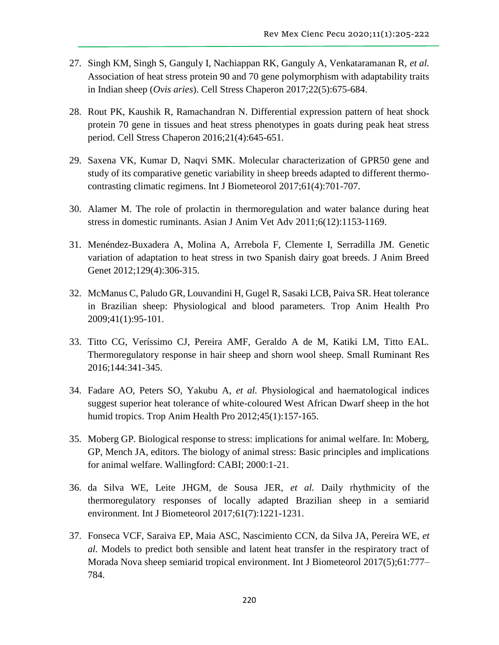- 27. Singh KM, Singh S, Ganguly I, Nachiappan RK, Ganguly A, Venkataramanan R, *et al.* Association of heat stress protein 90 and 70 gene polymorphism with adaptability traits in Indian sheep (*Ovis aries*). Cell Stress Chaperon 2017;22(5):675-684.
- 28. Rout PK, Kaushik R, Ramachandran N. Differential expression pattern of heat shock protein 70 gene in tissues and heat stress phenotypes in goats during peak heat stress period. Cell Stress Chaperon 2016;21(4):645-651.
- 29. Saxena VK, Kumar D, Naqvi SMK. Molecular characterization of GPR50 gene and study of its comparative genetic variability in sheep breeds adapted to different thermocontrasting climatic regimens. Int J Biometeorol 2017;61(4):701-707.
- 30. Alamer M. The role of prolactin in thermoregulation and water balance during heat stress in domestic ruminants. Asian J Anim Vet Adv 2011;6(12):1153-1169.
- 31. Menéndez-Buxadera A, Molina A, Arrebola F, Clemente I, Serradilla JM. Genetic variation of adaptation to heat stress in two Spanish dairy goat breeds. J Anim Breed Genet 2012;129(4):306-315.
- 32. McManus C, Paludo GR, Louvandini H, Gugel R, Sasaki LCB, Paiva SR. Heat tolerance in Brazilian sheep: Physiological and blood parameters. Trop Anim Health Pro 2009;41(1):95-101.
- 33. Titto CG, Veríssimo CJ, Pereira AMF, Geraldo A de M, Katiki LM, Titto EAL. Thermoregulatory response in hair sheep and shorn wool sheep. Small Ruminant Res 2016;144:341-345.
- 34. Fadare AO, Peters SO, Yakubu A, *et al.* Physiological and haematological indices suggest superior heat tolerance of white-coloured West African Dwarf sheep in the hot humid tropics. Trop Anim Health Pro 2012;45(1):157-165.
- 35. Moberg GP. Biological response to stress: implications for animal welfare. In: Moberg, GP, Mench JA, editors. The biology of animal stress: Basic principles and implications for animal welfare. Wallingford: CABI; 2000:1-21.
- 36. da Silva WE, Leite JHGM, de Sousa JER, *et al.* Daily rhythmicity of the thermoregulatory responses of locally adapted Brazilian sheep in a semiarid environment. Int J Biometeorol 2017;61(7):1221-1231.
- 37. Fonseca VCF, Saraiva EP, Maia ASC, Nascimiento CCN, da Silva JA, Pereira WE, *et al.* Models to predict both sensible and latent heat transfer in the respiratory tract of Morada Nova sheep semiarid tropical environment. Int J Biometeorol 2017(5);61:777– 784.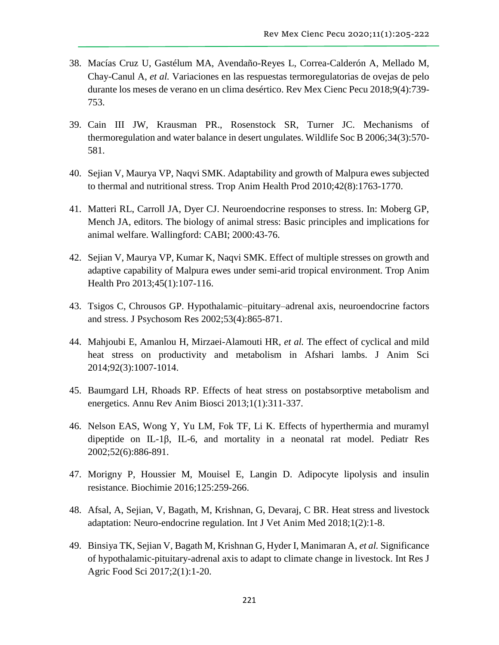- 38. Macías Cruz U, Gastélum MA, Avendaño-Reyes L, Correa-Calderón A, Mellado M, Chay-Canul A, *et al.* Variaciones en las respuestas termoregulatorias de ovejas de pelo durante los meses de verano en un clima desértico. Rev Mex Cienc Pecu 2018;9(4):739- 753.
- 39. Cain III JW, Krausman PR., Rosenstock SR, Turner JC. Mechanisms of thermoregulation and water balance in desert ungulates. Wildlife Soc B 2006;34(3):570- 581.
- 40. Sejian V, Maurya VP, Naqvi SMK. Adaptability and growth of Malpura ewes subjected to thermal and nutritional stress. Trop Anim Health Prod 2010;42(8):1763-1770.
- 41. Matteri RL, Carroll JA, Dyer CJ. Neuroendocrine responses to stress. In: Moberg GP, Mench JA, editors. The biology of animal stress: Basic principles and implications for animal welfare. Wallingford: CABI; 2000:43-76.
- 42. Sejian V, Maurya VP, Kumar K, Naqvi SMK. Effect of multiple stresses on growth and adaptive capability of Malpura ewes under semi-arid tropical environment. Trop Anim Health Pro 2013;45(1):107-116.
- 43. Tsigos C, Chrousos GP. Hypothalamic–pituitary–adrenal axis, neuroendocrine factors and stress. J Psychosom Res 2002;53(4):865-871.
- 44. Mahjoubi E, Amanlou H, Mirzaei-Alamouti HR, *et al.* The effect of cyclical and mild heat stress on productivity and metabolism in Afshari lambs. J Anim Sci 2014;92(3):1007-1014.
- 45. Baumgard LH, Rhoads RP. Effects of heat stress on postabsorptive metabolism and energetics. Annu Rev Anim Biosci 2013;1(1):311-337.
- 46. Nelson EAS, Wong Y, Yu LM, Fok TF, Li K. Effects of hyperthermia and muramyl dipeptide on IL-1β, IL-6, and mortality in a neonatal rat model. Pediatr Res 2002;52(6):886-891.
- 47. Morigny P, Houssier M, Mouisel E, Langin D. Adipocyte lipolysis and insulin resistance. Biochimie 2016;125:259-266.
- 48. Afsal, A, Sejian, V, Bagath, M, Krishnan, G, Devaraj, C BR. Heat stress and livestock adaptation: Neuro-endocrine regulation. Int J Vet Anim Med 2018;1(2):1-8.
- 49. Binsiya TK, Sejian V, Bagath M, Krishnan G, Hyder I, Manimaran A, *et al.* Significance of hypothalamic-pituitary-adrenal axis to adapt to climate change in livestock. Int Res J Agric Food Sci 2017;2(1):1-20.